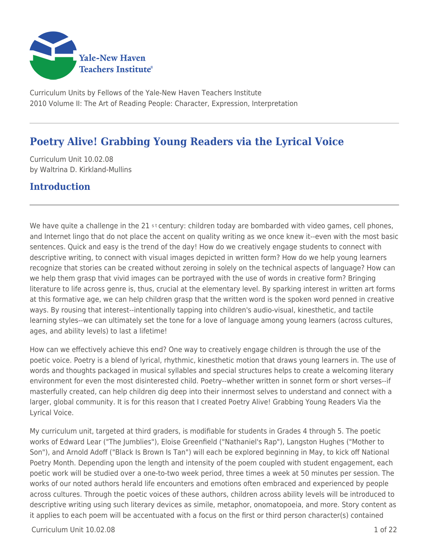

Curriculum Units by Fellows of the Yale-New Haven Teachers Institute 2010 Volume II: The Art of Reading People: Character, Expression, Interpretation

# **Poetry Alive! Grabbing Young Readers via the Lyrical Voice**

Curriculum Unit 10.02.08 by Waltrina D. Kirkland-Mullins

### **Introduction**

We have quite a challenge in the 21 st century: children today are bombarded with video games, cell phones, and Internet lingo that do not place the accent on quality writing as we once knew it--even with the most basic sentences. Quick and easy is the trend of the day! How do we creatively engage students to connect with descriptive writing, to connect with visual images depicted in written form? How do we help young learners recognize that stories can be created without zeroing in solely on the technical aspects of language? How can we help them grasp that vivid images can be portrayed with the use of words in creative form? Bringing literature to life across genre is, thus, crucial at the elementary level. By sparking interest in written art forms at this formative age, we can help children grasp that the written word is the spoken word penned in creative ways. By rousing that interest--intentionally tapping into children's audio-visual, kinesthetic, and tactile learning styles--we can ultimately set the tone for a love of language among young learners (across cultures, ages, and ability levels) to last a lifetime!

How can we effectively achieve this end? One way to creatively engage children is through the use of the poetic voice. Poetry is a blend of lyrical, rhythmic, kinesthetic motion that draws young learners in. The use of words and thoughts packaged in musical syllables and special structures helps to create a welcoming literary environment for even the most disinterested child. Poetry--whether written in sonnet form or short verses--if masterfully created, can help children dig deep into their innermost selves to understand and connect with a larger, global community. It is for this reason that I created Poetry Alive! Grabbing Young Readers Via the Lyrical Voice.

My curriculum unit, targeted at third graders, is modifiable for students in Grades 4 through 5. The poetic works of Edward Lear ("The Jumblies"), Eloise Greenfield ("Nathaniel's Rap"), Langston Hughes ("Mother to Son"), and Arnold Adoff ("Black Is Brown Is Tan") will each be explored beginning in May, to kick off National Poetry Month. Depending upon the length and intensity of the poem coupled with student engagement, each poetic work will be studied over a one-to-two week period, three times a week at 50 minutes per session. The works of our noted authors herald life encounters and emotions often embraced and experienced by people across cultures. Through the poetic voices of these authors, children across ability levels will be introduced to descriptive writing using such literary devices as simile, metaphor, onomatopoeia, and more. Story content as it applies to each poem will be accentuated with a focus on the first or third person character(s) contained

 $C$ urriculum Unit  $10.02.08$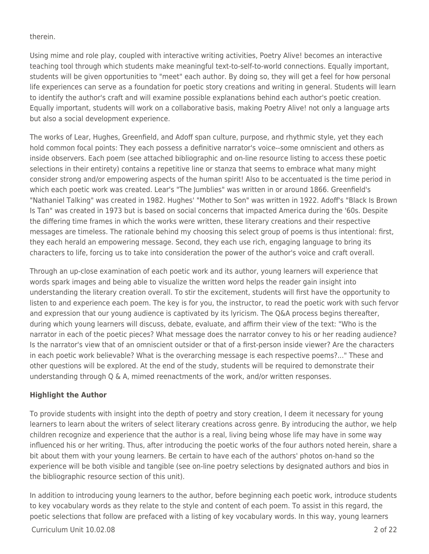therein.

Using mime and role play, coupled with interactive writing activities, Poetry Alive! becomes an interactive teaching tool through which students make meaningful text-to-self-to-world connections. Equally important, students will be given opportunities to "meet" each author. By doing so, they will get a feel for how personal life experiences can serve as a foundation for poetic story creations and writing in general. Students will learn to identify the author's craft and will examine possible explanations behind each author's poetic creation. Equally important, students will work on a collaborative basis, making Poetry Alive! not only a language arts but also a social development experience.

The works of Lear, Hughes, Greenfield, and Adoff span culture, purpose, and rhythmic style, yet they each hold common focal points: They each possess a definitive narrator's voice--some omniscient and others as inside observers. Each poem (see attached bibliographic and on-line resource listing to access these poetic selections in their entirety) contains a repetitive line or stanza that seems to embrace what many might consider strong and/or empowering aspects of the human spirit! Also to be accentuated is the time period in which each poetic work was created. Lear's "The Jumblies" was written in or around 1866. Greenfield's "Nathaniel Talking" was created in 1982. Hughes' "Mother to Son" was written in 1922. Adoff's "Black Is Brown Is Tan" was created in 1973 but is based on social concerns that impacted America during the '60s. Despite the differing time frames in which the works were written, these literary creations and their respective messages are timeless. The rationale behind my choosing this select group of poems is thus intentional: first, they each herald an empowering message. Second, they each use rich, engaging language to bring its characters to life, forcing us to take into consideration the power of the author's voice and craft overall.

Through an up-close examination of each poetic work and its author, young learners will experience that words spark images and being able to visualize the written word helps the reader gain insight into understanding the literary creation overall. To stir the excitement, students will first have the opportunity to listen to and experience each poem. The key is for you, the instructor, to read the poetic work with such fervor and expression that our young audience is captivated by its lyricism. The Q&A process begins thereafter, during which young learners will discuss, debate, evaluate, and affirm their view of the text: "Who is the narrator in each of the poetic pieces? What message does the narrator convey to his or her reading audience? Is the narrator's view that of an omniscient outsider or that of a first-person inside viewer? Are the characters in each poetic work believable? What is the overarching message is each respective poems?..." These and other questions will be explored. At the end of the study, students will be required to demonstrate their understanding through Q & A, mimed reenactments of the work, and/or written responses.

### **Highlight the Author**

To provide students with insight into the depth of poetry and story creation, I deem it necessary for young learners to learn about the writers of select literary creations across genre. By introducing the author, we help children recognize and experience that the author is a real, living being whose life may have in some way influenced his or her writing. Thus, after introducing the poetic works of the four authors noted herein, share a bit about them with your young learners. Be certain to have each of the authors' photos on-hand so the experience will be both visible and tangible (see on-line poetry selections by designated authors and bios in the bibliographic resource section of this unit).

In addition to introducing young learners to the author, before beginning each poetic work, introduce students to key vocabulary words as they relate to the style and content of each poem. To assist in this regard, the poetic selections that follow are prefaced with a listing of key vocabulary words. In this way, young learners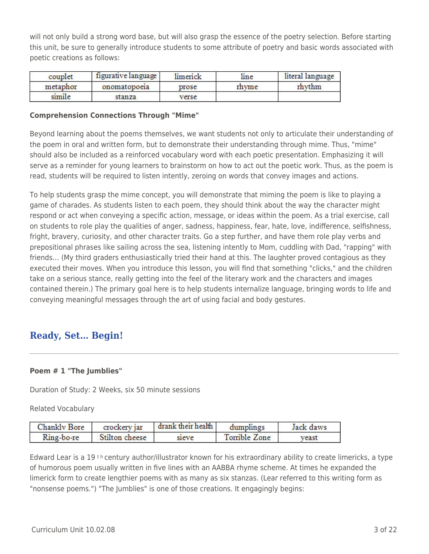will not only build a strong word base, but will also grasp the essence of the poetry selection. Before starting this unit, be sure to generally introduce students to some attribute of poetry and basic words associated with poetic creations as follows:

| couplet  | figurative language | limenck | line  | literal language |
|----------|---------------------|---------|-------|------------------|
| metaphor | onomatopoeia        | prose   | rhyme | rhythm           |
| simile   | stanza              | verse   |       |                  |

#### **Comprehension Connections Through "Mime"**

Beyond learning about the poems themselves, we want students not only to articulate their understanding of the poem in oral and written form, but to demonstrate their understanding through mime. Thus, "mime" should also be included as a reinforced vocabulary word with each poetic presentation. Emphasizing it will serve as a reminder for young learners to brainstorm on how to act out the poetic work. Thus, as the poem is read, students will be required to listen intently, zeroing on words that convey images and actions.

To help students grasp the mime concept, you will demonstrate that miming the poem is like to playing a game of charades. As students listen to each poem, they should think about the way the character might respond or act when conveying a specific action, message, or ideas within the poem. As a trial exercise, call on students to role play the qualities of anger, sadness, happiness, fear, hate, love, indifference, selfishness, fright, bravery, curiosity, and other character traits. Go a step further, and have them role play verbs and prepositional phrases like sailing across the sea, listening intently to Mom, cuddling with Dad, "rapping" with friends… (My third graders enthusiastically tried their hand at this. The laughter proved contagious as they executed their moves. When you introduce this lesson, you will find that something "clicks," and the children take on a serious stance, really getting into the feel of the literary work and the characters and images contained therein.) The primary goal here is to help students internalize language, bringing words to life and conveying meaningful messages through the art of using facial and body gestures.

## **Ready, Set… Begin!**

### **Poem # 1 "The Jumblies"**

Duration of Study: 2 Weeks, six 50 minute sessions

Related Vocabulary

| Chankly Bore | crockery jar   | drank their health | dumplings     | Jack daws |
|--------------|----------------|--------------------|---------------|-----------|
| Ring-bo-re   | Stilton cheese | sieve              | Torrible Zone | veast     |

Edward Lear is a 19<sup>th</sup> century author/illustrator known for his extraordinary ability to create limericks, a type of humorous poem usually written in five lines with an AABBA rhyme scheme. At times he expanded the limerick form to create lengthier poems with as many as six stanzas. (Lear referred to this writing form as "nonsense poems.") "The Jumblies" is one of those creations. It engagingly begins: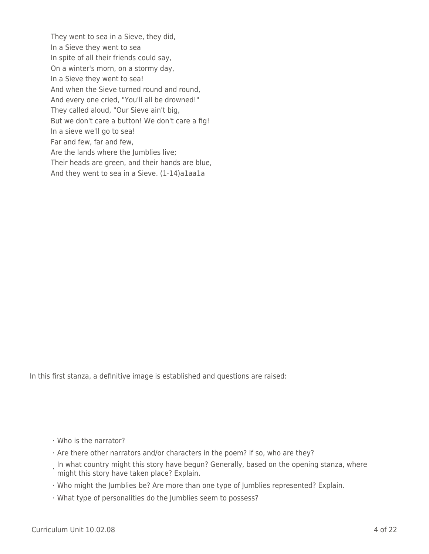They went to sea in a Sieve, they did, In a Sieve they went to sea In spite of all their friends could say, On a winter's morn, on a stormy day, In a Sieve they went to sea! And when the Sieve turned round and round, And every one cried, "You'll all be drowned!" They called aloud, "Our Sieve ain't big, But we don't care a button! We don't care a fig! In a sieve we'll go to sea! Far and few, far and few, Are the lands where the Jumblies live; Their heads are green, and their hands are blue, And they went to sea in a Sieve. (1-14)a1aa1a

In this first stanza, a definitive image is established and questions are raised:

- · Who is the narrator?
- · Are there other narrators and/or characters in the poem? If so, who are they?
- **In what country might this story have begun? Generally, based on the opening stanza, where**<br>in might this stary have taken plase? Evplain might this story have taken place? Explain.
- · Who might the Jumblies be? Are more than one type of Jumblies represented? Explain.
- · What type of personalities do the Jumblies seem to possess?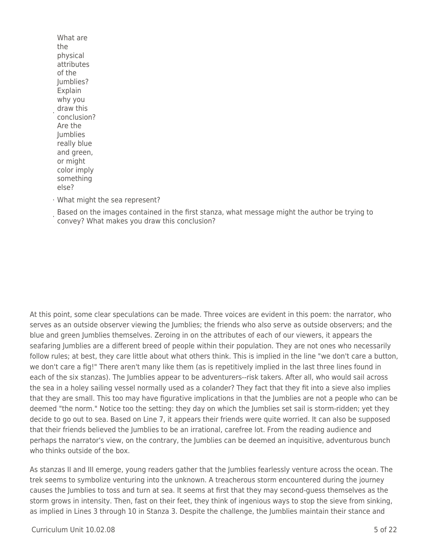What are the physical attributes of the Jumblies? Explain why you draw this conclusion? Are the Jumblies really blue and green, or might color imply something else?

·

· What might the sea represent?

Based on the images contained in the first stanza, what message might the author be trying to<br>Convey? What makes you draw this conclusion? convey? What makes you draw this conclusion?

At this point, some clear speculations can be made. Three voices are evident in this poem: the narrator, who serves as an outside observer viewing the Jumblies; the friends who also serve as outside observers; and the blue and green Jumblies themselves. Zeroing in on the attributes of each of our viewers, it appears the seafaring Jumblies are a different breed of people within their population. They are not ones who necessarily follow rules; at best, they care little about what others think. This is implied in the line "we don't care a button, we don't care a fig!" There aren't many like them (as is repetitively implied in the last three lines found in each of the six stanzas). The Jumblies appear to be adventurers--risk takers. After all, who would sail across the sea in a holey sailing vessel normally used as a colander? They fact that they fit into a sieve also implies that they are small. This too may have figurative implications in that the Jumblies are not a people who can be deemed "the norm." Notice too the setting: they day on which the Jumblies set sail is storm-ridden; yet they decide to go out to sea. Based on Line 7, it appears their friends were quite worried. It can also be supposed that their friends believed the Jumblies to be an irrational, carefree lot. From the reading audience and perhaps the narrator's view, on the contrary, the Jumblies can be deemed an inquisitive, adventurous bunch who thinks outside of the box.

As stanzas II and III emerge, young readers gather that the Jumblies fearlessly venture across the ocean. The trek seems to symbolize venturing into the unknown. A treacherous storm encountered during the journey causes the Jumblies to toss and turn at sea. It seems at first that they may second-guess themselves as the storm grows in intensity. Then, fast on their feet, they think of ingenious ways to stop the sieve from sinking, as implied in Lines 3 through 10 in Stanza 3. Despite the challenge, the Jumblies maintain their stance and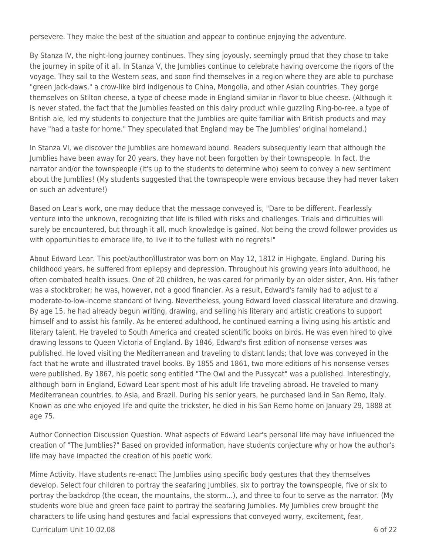persevere. They make the best of the situation and appear to continue enjoying the adventure.

By Stanza IV, the night-long journey continues. They sing joyously, seemingly proud that they chose to take the journey in spite of it all. In Stanza V, the Jumblies continue to celebrate having overcome the rigors of the voyage. They sail to the Western seas, and soon find themselves in a region where they are able to purchase "green Jack-daws," a crow-like bird indigenous to China, Mongolia, and other Asian countries. They gorge themselves on Stilton cheese, a type of cheese made in England similar in flavor to blue cheese. (Although it is never stated, the fact that the Jumblies feasted on this dairy product while guzzling Ring-bo-ree, a type of British ale, led my students to conjecture that the Jumblies are quite familiar with British products and may have "had a taste for home." They speculated that England may be The Jumblies' original homeland.)

In Stanza VI, we discover the Jumblies are homeward bound. Readers subsequently learn that although the Jumblies have been away for 20 years, they have not been forgotten by their townspeople. In fact, the narrator and/or the townspeople (it's up to the students to determine who) seem to convey a new sentiment about the Jumblies! (My students suggested that the townspeople were envious because they had never taken on such an adventure!)

Based on Lear's work, one may deduce that the message conveyed is, "Dare to be different. Fearlessly venture into the unknown, recognizing that life is filled with risks and challenges. Trials and difficulties will surely be encountered, but through it all, much knowledge is gained. Not being the crowd follower provides us with opportunities to embrace life, to live it to the fullest with no regrets!"

About Edward Lear. This poet/author/illustrator was born on May 12, 1812 in Highgate, England. During his childhood years, he suffered from epilepsy and depression. Throughout his growing years into adulthood, he often combated health issues. One of 20 children, he was cared for primarily by an older sister, Ann. His father was a stockbroker; he was, however, not a good financier. As a result, Edward's family had to adjust to a moderate-to-low-income standard of living. Nevertheless, young Edward loved classical literature and drawing. By age 15, he had already begun writing, drawing, and selling his literary and artistic creations to support himself and to assist his family. As he entered adulthood, he continued earning a living using his artistic and literary talent. He traveled to South America and created scientific books on birds. He was even hired to give drawing lessons to Queen Victoria of England. By 1846, Edward's first edition of nonsense verses was published. He loved visiting the Mediterranean and traveling to distant lands; that love was conveyed in the fact that he wrote and illustrated travel books. By 1855 and 1861, two more editions of his nonsense verses were published. By 1867, his poetic song entitled "The Owl and the Pussycat" was a published. Interestingly, although born in England, Edward Lear spent most of his adult life traveling abroad. He traveled to many Mediterranean countries, to Asia, and Brazil. During his senior years, he purchased land in San Remo, Italy. Known as one who enjoyed life and quite the trickster, he died in his San Remo home on January 29, 1888 at age 75.

Author Connection Discussion Question. What aspects of Edward Lear's personal life may have influenced the creation of "The Jumblies?" Based on provided information, have students conjecture why or how the author's life may have impacted the creation of his poetic work.

Mime Activity. Have students re-enact The Jumblies using specific body gestures that they themselves develop. Select four children to portray the seafaring Jumblies, six to portray the townspeople, five or six to portray the backdrop (the ocean, the mountains, the storm…), and three to four to serve as the narrator. (My students wore blue and green face paint to portray the seafaring Jumblies. My Jumblies crew brought the characters to life using hand gestures and facial expressions that conveyed worry, excitement, fear,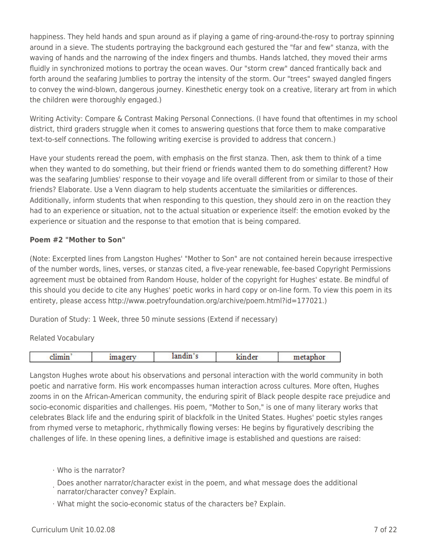happiness. They held hands and spun around as if playing a game of ring-around-the-rosy to portray spinning around in a sieve. The students portraying the background each gestured the "far and few" stanza, with the waving of hands and the narrowing of the index fingers and thumbs. Hands latched, they moved their arms fluidly in synchronized motions to portray the ocean waves. Our "storm crew" danced frantically back and forth around the seafaring Jumblies to portray the intensity of the storm. Our "trees" swayed dangled fingers to convey the wind-blown, dangerous journey. Kinesthetic energy took on a creative, literary art from in which the children were thoroughly engaged.)

Writing Activity: Compare & Contrast Making Personal Connections. (I have found that oftentimes in my school district, third graders struggle when it comes to answering questions that force them to make comparative text-to-self connections. The following writing exercise is provided to address that concern.)

Have your students reread the poem, with emphasis on the first stanza. Then, ask them to think of a time when they wanted to do something, but their friend or friends wanted them to do something different? How was the seafaring Jumblies' response to their voyage and life overall different from or similar to those of their friends? Elaborate. Use a Venn diagram to help students accentuate the similarities or differences. Additionally, inform students that when responding to this question, they should zero in on the reaction they had to an experience or situation, not to the actual situation or experience itself: the emotion evoked by the experience or situation and the response to that emotion that is being compared.

#### **Poem #2 "Mother to Son"**

(Note: Excerpted lines from Langston Hughes' "Mother to Son" are not contained herein because irrespective of the number words, lines, verses, or stanzas cited, a five-year renewable, fee-based Copyright Permissions agreement must be obtained from Random House, holder of the copyright for Hughes' estate. Be mindful of this should you decide to cite any Hughes' poetic works in hard copy or on-line form. To view this poem in its entirety, please access http://www.poetryfoundation.org/archive/poem.html?id=177021.)

Duration of Study: 1 Week, three 50 minute sessions (Extend if necessary)

Related Vocabulary

|  | __  | -- | ---<br>--- |
|--|-----|----|------------|
|  | . . |    |            |
|  |     |    |            |

Langston Hughes wrote about his observations and personal interaction with the world community in both poetic and narrative form. His work encompasses human interaction across cultures. More often, Hughes zooms in on the African-American community, the enduring spirit of Black people despite race prejudice and socio-economic disparities and challenges. His poem, "Mother to Son," is one of many literary works that celebrates Black life and the enduring spirit of blackfolk in the United States. Hughes' poetic styles ranges from rhymed verse to metaphoric, rhythmically flowing verses: He begins by figuratively describing the challenges of life. In these opening lines, a definitive image is established and questions are raised:

### · Who is the narrator?

- · Does another narrator/character exist in the poem, and what message does the additional narrator/character convey? Explain.
- · What might the socio-economic status of the characters be? Explain.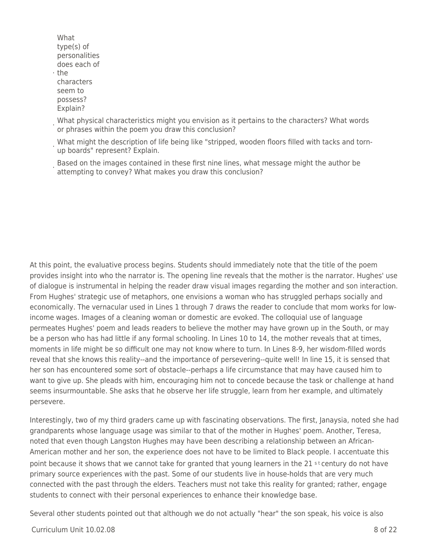- What type(s) of personalities does each of
- · the characters seem to possess? Explain?
- · What physical characteristics might you envision as it pertains to the characters? What words or phrases within the poem you draw this conclusion?
- · What might the description of life being like "stripped, wooden floors filled with tacks and tornup boards" represent? Explain.
- Based on the images contained in these first nine lines, what message might the author be attempting to convey? What makes you draw this conclusion?

At this point, the evaluative process begins. Students should immediately note that the title of the poem provides insight into who the narrator is. The opening line reveals that the mother is the narrator. Hughes' use of dialogue is instrumental in helping the reader draw visual images regarding the mother and son interaction. From Hughes' strategic use of metaphors, one envisions a woman who has struggled perhaps socially and economically. The vernacular used in Lines 1 through 7 draws the reader to conclude that mom works for lowincome wages. Images of a cleaning woman or domestic are evoked. The colloquial use of language permeates Hughes' poem and leads readers to believe the mother may have grown up in the South, or may be a person who has had little if any formal schooling. In Lines 10 to 14, the mother reveals that at times, moments in life might be so difficult one may not know where to turn. In Lines 8-9, her wisdom-filled words reveal that she knows this reality--and the importance of persevering--quite well! In line 15, it is sensed that her son has encountered some sort of obstacle--perhaps a life circumstance that may have caused him to want to give up. She pleads with him, encouraging him not to concede because the task or challenge at hand seems insurmountable. She asks that he observe her life struggle, learn from her example, and ultimately persevere.

Interestingly, two of my third graders came up with fascinating observations. The first, Janaysia, noted she had grandparents whose language usage was similar to that of the mother in Hughes' poem. Another, Teresa, noted that even though Langston Hughes may have been describing a relationship between an African-American mother and her son, the experience does not have to be limited to Black people. I accentuate this point because it shows that we cannot take for granted that young learners in the 21 st century do not have primary source experiences with the past. Some of our students live in house-holds that are very much connected with the past through the elders. Teachers must not take this reality for granted; rather, engage students to connect with their personal experiences to enhance their knowledge base.

Several other students pointed out that although we do not actually "hear" the son speak, his voice is also

 $C$ urriculum Unit  $10.02.08$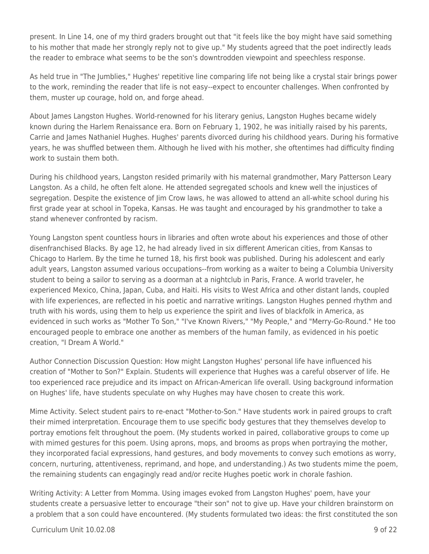present. In Line 14, one of my third graders brought out that "it feels like the boy might have said something to his mother that made her strongly reply not to give up." My students agreed that the poet indirectly leads the reader to embrace what seems to be the son's downtrodden viewpoint and speechless response.

As held true in "The Jumblies," Hughes' repetitive line comparing life not being like a crystal stair brings power to the work, reminding the reader that life is not easy--expect to encounter challenges. When confronted by them, muster up courage, hold on, and forge ahead.

About James Langston Hughes. World-renowned for his literary genius, Langston Hughes became widely known during the Harlem Renaissance era. Born on February 1, 1902, he was initially raised by his parents, Carrie and James Nathaniel Hughes. Hughes' parents divorced during his childhood years. During his formative years, he was shuffled between them. Although he lived with his mother, she oftentimes had difficulty finding work to sustain them both.

During his childhood years, Langston resided primarily with his maternal grandmother, Mary Patterson Leary Langston. As a child, he often felt alone. He attended segregated schools and knew well the injustices of segregation. Despite the existence of Jim Crow laws, he was allowed to attend an all-white school during his first grade year at school in Topeka, Kansas. He was taught and encouraged by his grandmother to take a stand whenever confronted by racism.

Young Langston spent countless hours in libraries and often wrote about his experiences and those of other disenfranchised Blacks. By age 12, he had already lived in six different American cities, from Kansas to Chicago to Harlem. By the time he turned 18, his first book was published. During his adolescent and early adult years, Langston assumed various occupations--from working as a waiter to being a Columbia University student to being a sailor to serving as a doorman at a nightclub in Paris, France. A world traveler, he experienced Mexico, China, Japan, Cuba, and Haiti. His visits to West Africa and other distant lands, coupled with life experiences, are reflected in his poetic and narrative writings. Langston Hughes penned rhythm and truth with his words, using them to help us experience the spirit and lives of blackfolk in America, as evidenced in such works as "Mother To Son," "I've Known Rivers," "My People," and "Merry-Go-Round." He too encouraged people to embrace one another as members of the human family, as evidenced in his poetic creation, "I Dream A World."

Author Connection Discussion Question: How might Langston Hughes' personal life have influenced his creation of "Mother to Son?" Explain. Students will experience that Hughes was a careful observer of life. He too experienced race prejudice and its impact on African-American life overall. Using background information on Hughes' life, have students speculate on why Hughes may have chosen to create this work.

Mime Activity. Select student pairs to re-enact "Mother-to-Son." Have students work in paired groups to craft their mimed interpretation. Encourage them to use specific body gestures that they themselves develop to portray emotions felt throughout the poem. (My students worked in paired, collaborative groups to come up with mimed gestures for this poem. Using aprons, mops, and brooms as props when portraying the mother, they incorporated facial expressions, hand gestures, and body movements to convey such emotions as worry, concern, nurturing, attentiveness, reprimand, and hope, and understanding.) As two students mime the poem, the remaining students can engagingly read and/or recite Hughes poetic work in chorale fashion.

Writing Activity: A Letter from Momma. Using images evoked from Langston Hughes' poem, have your students create a persuasive letter to encourage "their son" not to give up. Have your children brainstorm on a problem that a son could have encountered. (My students formulated two ideas: the first constituted the son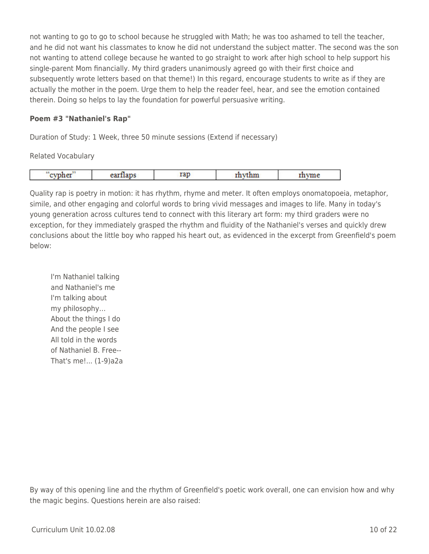not wanting to go to go to school because he struggled with Math; he was too ashamed to tell the teacher, and he did not want his classmates to know he did not understand the subject matter. The second was the son not wanting to attend college because he wanted to go straight to work after high school to help support his single-parent Mom financially. My third graders unanimously agreed go with their first choice and subsequently wrote letters based on that theme!) In this regard, encourage students to write as if they are actually the mother in the poem. Urge them to help the reader feel, hear, and see the emotion contained therein. Doing so helps to lay the foundation for powerful persuasive writing.

#### **Poem #3 "Nathaniel's Rap"**

Duration of Study: 1 Week, three 50 minute sessions (Extend if necessary)

Related Vocabulary

|  | --<br>$- - -$<br>--- | ___ | ----<br>$   -$ | *** |  |
|--|----------------------|-----|----------------|-----|--|
|--|----------------------|-----|----------------|-----|--|

Quality rap is poetry in motion: it has rhythm, rhyme and meter. It often employs onomatopoeia, metaphor, simile, and other engaging and colorful words to bring vivid messages and images to life. Many in today's young generation across cultures tend to connect with this literary art form: my third graders were no exception, for they immediately grasped the rhythm and fluidity of the Nathaniel's verses and quickly drew conclusions about the little boy who rapped his heart out, as evidenced in the excerpt from Greenfield's poem below:

I'm Nathaniel talking and Nathaniel's me I'm talking about my philosophy… About the things I do And the people I see All told in the words of Nathaniel B. Free-- That's me!... (1-9)a2a

By way of this opening line and the rhythm of Greenfield's poetic work overall, one can envision how and why the magic begins. Questions herein are also raised: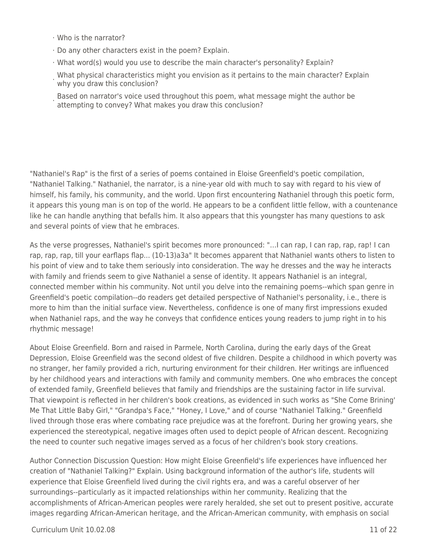- · Who is the narrator?
- · Do any other characters exist in the poem? Explain.
- · What word(s) would you use to describe the main character's personality? Explain?
- · What physical characteristics might you envision as it pertains to the main character? Explain why you draw this conclusion?
- Based on narrator's voice used throughout this poem, what message might the author be attempting to convey? What makes you draw this conclusion?

"Nathaniel's Rap" is the first of a series of poems contained in Eloise Greenfield's poetic compilation, "Nathaniel Talking." Nathaniel, the narrator, is a nine-year old with much to say with regard to his view of himself, his family, his community, and the world. Upon first encountering Nathaniel through this poetic form, it appears this young man is on top of the world. He appears to be a confident little fellow, with a countenance like he can handle anything that befalls him. It also appears that this youngster has many questions to ask and several points of view that he embraces.

As the verse progresses, Nathaniel's spirit becomes more pronounced: "…I can rap, I can rap, rap, rap! I can rap, rap, rap, till your earflaps flap... (10-13)a3a" It becomes apparent that Nathaniel wants others to listen to his point of view and to take them seriously into consideration. The way he dresses and the way he interacts with family and friends seem to give Nathaniel a sense of identity. It appears Nathaniel is an integral, connected member within his community. Not until you delve into the remaining poems--which span genre in Greenfield's poetic compilation--do readers get detailed perspective of Nathaniel's personality, i.e., there is more to him than the initial surface view. Nevertheless, confidence is one of many first impressions exuded when Nathaniel raps, and the way he conveys that confidence entices young readers to jump right in to his rhythmic message!

About Eloise Greenfield. Born and raised in Parmele, North Carolina, during the early days of the Great Depression, Eloise Greenfield was the second oldest of five children. Despite a childhood in which poverty was no stranger, her family provided a rich, nurturing environment for their children. Her writings are influenced by her childhood years and interactions with family and community members. One who embraces the concept of extended family, Greenfield believes that family and friendships are the sustaining factor in life survival. That viewpoint is reflected in her children's book creations, as evidenced in such works as "She Come Brining' Me That Little Baby Girl," "Grandpa's Face," "Honey, I Love," and of course "Nathaniel Talking." Greenfield lived through those eras where combating race prejudice was at the forefront. During her growing years, she experienced the stereotypical, negative images often used to depict people of African descent. Recognizing the need to counter such negative images served as a focus of her children's book story creations.

Author Connection Discussion Question: How might Eloise Greenfield's life experiences have influenced her creation of "Nathaniel Talking?" Explain. Using background information of the author's life, students will experience that Eloise Greenfield lived during the civil rights era, and was a careful observer of her surroundings--particularly as it impacted relationships within her community. Realizing that the accomplishments of African-American peoples were rarely heralded, she set out to present positive, accurate images regarding African-American heritage, and the African-American community, with emphasis on social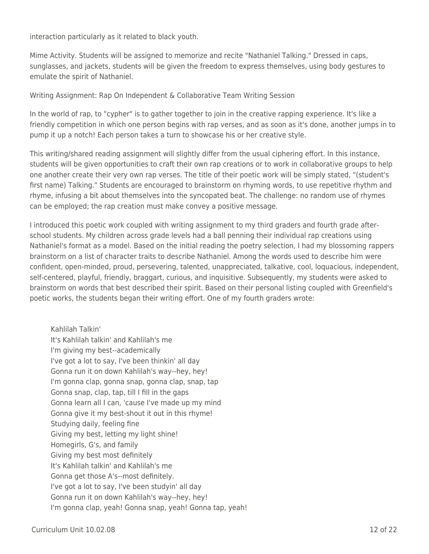interaction particularly as it related to black youth.

Mime Activity. Students will be assigned to memorize and recite "Nathaniel Talking." Dressed in caps, sunglasses, and jackets, students will be given the freedom to express themselves, using body gestures to emulate the spirit of Nathaniel.

Writing Assignment: Rap On Independent & Collaborative Team Writing Session

In the world of rap, to "cypher" is to gather together to join in the creative rapping experience. It's like a friendly competition in which one person begins with rap verses, and as soon as it's done, another jumps in to pump it up a notch! Each person takes a turn to showcase his or her creative style.

This writing/shared reading assignment will slightly differ from the usual ciphering effort. In this instance, students will be given opportunities to craft their own rap creations or to work in collaborative groups to help one another create their very own rap verses. The title of their poetic work will be simply stated, "(student's first name) Talking." Students are encouraged to brainstorm on rhyming words, to use repetitive rhythm and rhyme, infusing a bit about themselves into the syncopated beat. The challenge: no random use of rhymes can be employed; the rap creation must make convey a positive message.

I introduced this poetic work coupled with writing assignment to my third graders and fourth grade afterschool students. My children across grade levels had a ball penning their individual rap creations using Nathaniel's format as a model. Based on the initial reading the poetry selection, I had my blossoming rappers brainstorm on a list of character traits to describe Nathaniel. Among the words used to describe him were confident, open-minded, proud, persevering, talented, unappreciated, talkative, cool, loquacious, independent, self-centered, playful, friendly, braggart, curious, and inquisitive. Subsequently, my students were asked to brainstorm on words that best described their spirit. Based on their personal listing coupled with Greenfield's poetic works, the students began their writing effort. One of my fourth graders wrote:

Kahlilah Talkin' It's Kahlilah talkin' and Kahlilah's me I'm giving my best--academically I've got a lot to say, I've been thinkin' all day Gonna run it on down Kahlilah's way--hey, hey! I'm gonna clap, gonna snap, gonna clap, snap, tap Gonna snap, clap, tap, till I fill in the gaps Gonna learn all I can, 'cause I've made up my mind Gonna give it my best-shout it out in this rhyme! Studying daily, feeling fine Giving my best, letting my light shine! Homegirls, G's, and family Giving my best most definitely It's Kahlilah talkin' and Kahlilah's me Gonna get those A's--most definitely. I've got a lot to say, I've been studyin' all day Gonna run it on down Kahlilah's way--hey, hey! I'm gonna clap, yeah! Gonna snap, yeah! Gonna tap, yeah!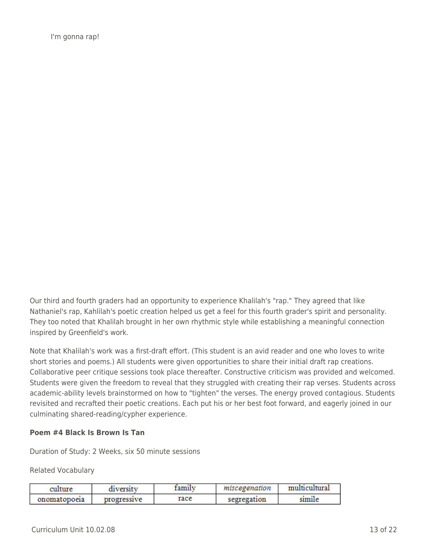I'm gonna rap!

Our third and fourth graders had an opportunity to experience Khalilah's "rap." They agreed that like Nathaniel's rap, Kahlilah's poetic creation helped us get a feel for this fourth grader's spirit and personality. They too noted that Khalilah brought in her own rhythmic style while establishing a meaningful connection inspired by Greenfield's work.

Note that Khalilah's work was a first-draft effort. (This student is an avid reader and one who loves to write short stories and poems.) All students were given opportunities to share their initial draft rap creations. Collaborative peer critique sessions took place thereafter. Constructive criticism was provided and welcomed. Students were given the freedom to reveal that they struggled with creating their rap verses. Students across academic-ability levels brainstormed on how to "tighten" the verses. The energy proved contagious. Students revisited and recrafted their poetic creations. Each put his or her best foot forward, and eagerly joined in our culminating shared-reading/cypher experience.

#### **Poem #4 Black Is Brown Is Tan**

Duration of Study: 2 Weeks, six 50 minute sessions

Related Vocabulary

| culture      | diversity   | tamılv | miscegenation | multicultural |
|--------------|-------------|--------|---------------|---------------|
| onomatopoeia | progressive | race   | segregation   | simile        |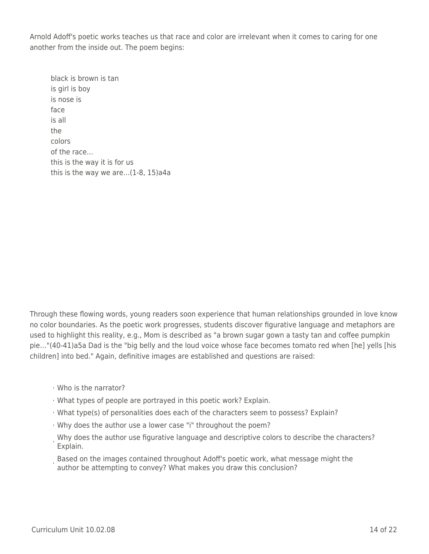Arnold Adoff's poetic works teaches us that race and color are irrelevant when it comes to caring for one another from the inside out. The poem begins:

black is brown is tan is girl is boy is nose is face is all the colors of the race… this is the way it is for us this is the way we are…(1-8, 15)a4a

Through these flowing words, young readers soon experience that human relationships grounded in love know no color boundaries. As the poetic work progresses, students discover figurative language and metaphors are used to highlight this reality, e.g., Mom is described as "a brown sugar gown a tasty tan and coffee pumpkin pie…"(40-41)a5a Dad is the "big belly and the loud voice whose face becomes tomato red when [he] yells [his children] into bed." Again, definitive images are established and questions are raised:

- · Who is the narrator?
- · What types of people are portrayed in this poetic work? Explain.
- · What type(s) of personalities does each of the characters seem to possess? Explain?
- · Why does the author use a lower case "i" throughout the poem?
- . Why does the author use figurative language and descriptive colors to describe the characters?<br>. Explain Explain.
- Based on the images contained throughout Adoff's poetic work, what message might the<br>exit by attempting to convoy? What makes you draw this conclusion? author be attempting to convey? What makes you draw this conclusion?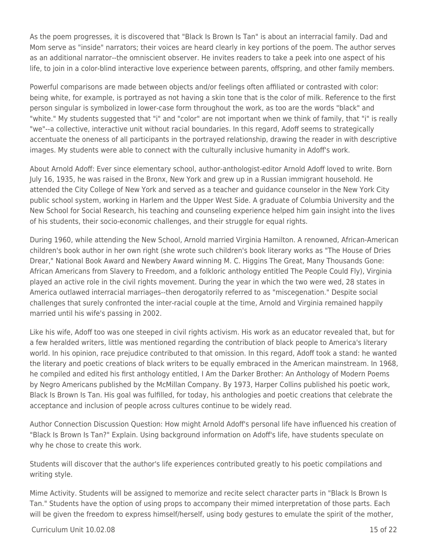As the poem progresses, it is discovered that "Black Is Brown Is Tan" is about an interracial family. Dad and Mom serve as "inside" narrators; their voices are heard clearly in key portions of the poem. The author serves as an additional narrator--the omniscient observer. He invites readers to take a peek into one aspect of his life, to join in a color-blind interactive love experience between parents, offspring, and other family members.

Powerful comparisons are made between objects and/or feelings often affiliated or contrasted with color: being white, for example, is portrayed as not having a skin tone that is the color of milk. Reference to the first person singular is symbolized in lower-case form throughout the work, as too are the words "black" and "white." My students suggested that "i" and "color" are not important when we think of family, that "i" is really "we"--a collective, interactive unit without racial boundaries. In this regard, Adoff seems to strategically accentuate the oneness of all participants in the portrayed relationship, drawing the reader in with descriptive images. My students were able to connect with the culturally inclusive humanity in Adoff's work.

About Arnold Adoff: Ever since elementary school, author-anthologist-editor Arnold Adoff loved to write. Born July 16, 1935, he was raised in the Bronx, New York and grew up in a Russian immigrant household. He attended the City College of New York and served as a teacher and guidance counselor in the New York City public school system, working in Harlem and the Upper West Side. A graduate of Columbia University and the New School for Social Research, his teaching and counseling experience helped him gain insight into the lives of his students, their socio-economic challenges, and their struggle for equal rights.

During 1960, while attending the New School, Arnold married Virginia Hamilton. A renowned, African-American children's book author in her own right (she wrote such children's book literary works as "The House of Dries Drear," National Book Award and Newbery Award winning M. C. Higgins The Great, Many Thousands Gone: African Americans from Slavery to Freedom, and a folkloric anthology entitled The People Could Fly), Virginia played an active role in the civil rights movement. During the year in which the two were wed, 28 states in America outlawed interracial marriages--then derogatorily referred to as "miscegenation." Despite social challenges that surely confronted the inter-racial couple at the time, Arnold and Virginia remained happily married until his wife's passing in 2002.

Like his wife, Adoff too was one steeped in civil rights activism. His work as an educator revealed that, but for a few heralded writers, little was mentioned regarding the contribution of black people to America's literary world. In his opinion, race prejudice contributed to that omission. In this regard, Adoff took a stand: he wanted the literary and poetic creations of black writers to be equally embraced in the American mainstream. In 1968, he compiled and edited his first anthology entitled, I Am the Darker Brother: An Anthology of Modern Poems by Negro Americans published by the McMillan Company. By 1973, Harper Collins published his poetic work, Black Is Brown Is Tan. His goal was fulfilled, for today, his anthologies and poetic creations that celebrate the acceptance and inclusion of people across cultures continue to be widely read.

Author Connection Discussion Question: How might Arnold Adoff's personal life have influenced his creation of "Black Is Brown Is Tan?" Explain. Using background information on Adoff's life, have students speculate on why he chose to create this work.

Students will discover that the author's life experiences contributed greatly to his poetic compilations and writing style.

Mime Activity. Students will be assigned to memorize and recite select character parts in "Black Is Brown Is Tan." Students have the option of using props to accompany their mimed interpretation of those parts. Each will be given the freedom to express himself/herself, using body gestures to emulate the spirit of the mother,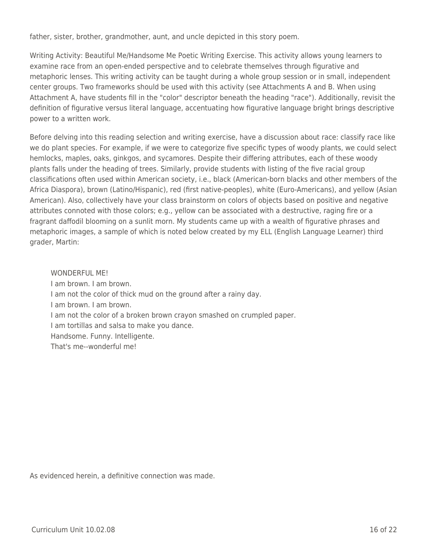father, sister, brother, grandmother, aunt, and uncle depicted in this story poem.

Writing Activity: Beautiful Me/Handsome Me Poetic Writing Exercise. This activity allows young learners to examine race from an open-ended perspective and to celebrate themselves through figurative and metaphoric lenses. This writing activity can be taught during a whole group session or in small, independent center groups. Two frameworks should be used with this activity (see Attachments A and B. When using Attachment A, have students fill in the "color" descriptor beneath the heading "race"). Additionally, revisit the definition of figurative versus literal language, accentuating how figurative language bright brings descriptive power to a written work.

Before delving into this reading selection and writing exercise, have a discussion about race: classify race like we do plant species. For example, if we were to categorize five specific types of woody plants, we could select hemlocks, maples, oaks, ginkgos, and sycamores. Despite their differing attributes, each of these woody plants falls under the heading of trees. Similarly, provide students with listing of the five racial group classifications often used within American society, i.e., black (American-born blacks and other members of the Africa Diaspora), brown (Latino/Hispanic), red (first native-peoples), white (Euro-Americans), and yellow (Asian American). Also, collectively have your class brainstorm on colors of objects based on positive and negative attributes connoted with those colors; e.g., yellow can be associated with a destructive, raging fire or a fragrant daffodil blooming on a sunlit morn. My students came up with a wealth of figurative phrases and metaphoric images, a sample of which is noted below created by my ELL (English Language Learner) third grader, Martin:

WONDERFUL ME! I am brown. I am brown. I am not the color of thick mud on the ground after a rainy day. I am brown. I am brown. I am not the color of a broken brown crayon smashed on crumpled paper. I am tortillas and salsa to make you dance. Handsome. Funny. Intelligente. That's me--wonderful me!

As evidenced herein, a definitive connection was made.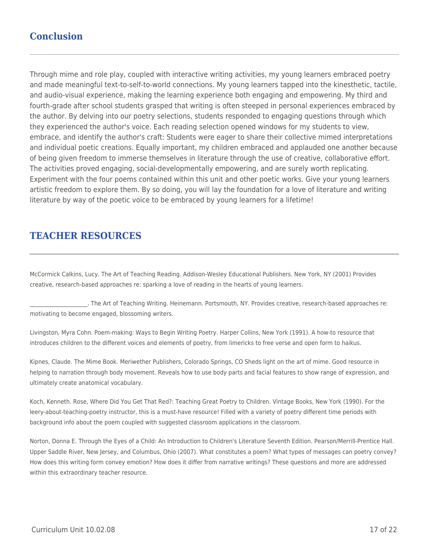## **Conclusion**

Through mime and role play, coupled with interactive writing activities, my young learners embraced poetry and made meaningful text-to-self-to-world connections. My young learners tapped into the kinesthetic, tactile, and audio-visual experience, making the learning experience both engaging and empowering. My third and fourth-grade after school students grasped that writing is often steeped in personal experiences embraced by the author. By delving into our poetry selections, students responded to engaging questions through which they experienced the author's voice. Each reading selection opened windows for my students to view, embrace, and identify the author's craft: Students were eager to share their collective mimed interpretations and individual poetic creations. Equally important, my children embraced and applauded one another because of being given freedom to immerse themselves in literature through the use of creative, collaborative effort. The activities proved engaging, social-developmentally empowering, and are surely worth replicating. Experiment with the four poems contained within this unit and other poetic works. Give your young learners artistic freedom to explore them. By so doing, you will lay the foundation for a love of literature and writing literature by way of the poetic voice to be embraced by young learners for a lifetime!

## **TEACHER RESOURCES**

McCormick Calkins, Lucy. The Art of Teaching Reading. Addison-Wesley Educational Publishers. New York, NY (2001) Provides creative, research-based approaches re: sparking a love of reading in the hearts of young learners.

\_\_\_\_\_\_\_\_\_\_\_\_\_\_\_\_\_\_\_\_\_. The Art of Teaching Writing. Heinemann. Portsmouth, NY. Provides creative, research-based approaches re: motivating to become engaged, blossoming writers.

Livingston, Myra Cohn. Poem-making: Ways to Begin Writing Poetry. Harper Collins, New York (1991). A how-to resource that introduces children to the different voices and elements of poetry, from limericks to free verse and open form to haikus.

Kipnes, Claude. The Mime Book. Meriwether Publishers, Colorado Springs, CO Sheds light on the art of mime. Good resource in helping to narration through body movement. Reveals how to use body parts and facial features to show range of expression, and ultimately create anatomical vocabulary.

Koch, Kenneth. Rose, Where Did You Get That Red?: Teaching Great Poetry to Children. Vintage Books, New York (1990). For the leery-about-teaching-poetry instructor, this is a must-have resource! Filled with a variety of poetry different time periods with background info about the poem coupled with suggested classroom applications in the classroom.

Norton, Donna E. Through the Eyes of a Child: An Introduction to Children's Literature Seventh Edition. Pearson/Merrill-Prentice Hall. Upper Saddle River, New Jersey, and Columbus, Ohio (2007). What constitutes a poem? What types of messages can poetry convey? How does this writing form convey emotion? How does it differ from narrative writings? These questions and more are addressed within this extraordinary teacher resource.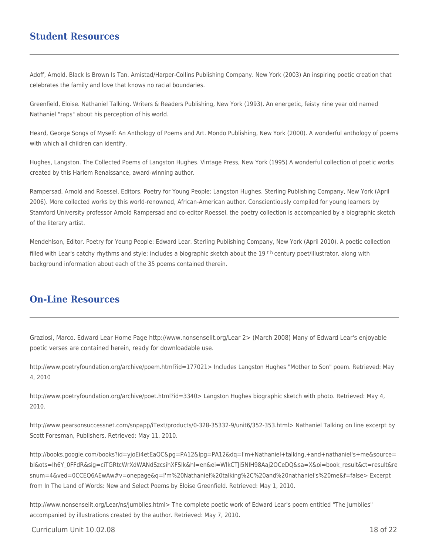### **Student Resources**

Adoff, Arnold. Black Is Brown Is Tan. Amistad/Harper-Collins Publishing Company. New York (2003) An inspiring poetic creation that celebrates the family and love that knows no racial boundaries.

Greenfield, Eloise. Nathaniel Talking. Writers & Readers Publishing, New York (1993). An energetic, feisty nine year old named Nathaniel "raps" about his perception of his world.

Heard, George Songs of Myself: An Anthology of Poems and Art. Mondo Publishing, New York (2000). A wonderful anthology of poems with which all children can identify.

Hughes, Langston. The Collected Poems of Langston Hughes. Vintage Press, New York (1995) A wonderful collection of poetic works created by this Harlem Renaissance, award-winning author.

Rampersad, Arnold and Roessel, Editors. Poetry for Young People: Langston Hughes. Sterling Publishing Company, New York (April 2006). More collected works by this world-renowned, African-American author. Conscientiously compiled for young learners by Stamford University professor Arnold Rampersad and co-editor Roessel, the poetry collection is accompanied by a biographic sketch of the literary artist.

Mendehlson, Editor. Poetry for Young People: Edward Lear. Sterling Publishing Company, New York (April 2010). A poetic collection filled with Lear's catchy rhythms and style; includes a biographic sketch about the 19<sup>th</sup> century poet/illustrator, along with background information about each of the 35 poems contained therein.

### **On-Line Resources**

Graziosi, Marco. Edward Lear Home Page http://www.nonsenselit.org/Lear 2> (March 2008) Many of Edward Lear's enjoyable poetic verses are contained herein, ready for downloadable use.

http://www.poetryfoundation.org/archive/poem.html?id=177021> Includes Langston Hughes "Mother to Son" poem. Retrieved: May 4, 2010

http://www.poetryfoundation.org/archive/poet.html?id=3340> Langston Hughes biographic sketch with photo. Retrieved: May 4, 2010.

http://www.pearsonsuccessnet.com/snpapp/iText/products/0-328-35332-9/unit6/352-353.html> Nathaniel Talking on line excerpt by Scott Foresman, Publishers. Retrieved: May 11, 2010.

http://books.google.com/books?id=yjoEi4etEaQC&pg=PA12&lpg=PA12&dq=I'm+Nathaniel+talking,+and+nathaniel's+me&source= bl&ots=Ih6Y\_0FFdR&sig=ciTGRtcWrXdWANdSzcsihXFSIk&hl=en&ei=WlkCTJi5NIH98Aaj2OCeDQ&sa=X&oi=book\_result&ct=result&re snum=4&ved=0CCEQ6AEwAw#v=onepage&q=I'm%20Nathaniel%20talking%2C%20and%20nathaniel's%20me&f=false> Excerpt from In The Land of Words: New and Select Poems by Eloise Greenfield. Retrieved: May 1, 2010.

http://www.nonsenselit.org/Lear/ns/jumblies.html> The complete poetic work of Edward Lear's poem entitled "The Jumblies" accompanied by illustrations created by the author. Retrieved: May 7, 2010.

#### $C$ urriculum Unit  $10.02.08$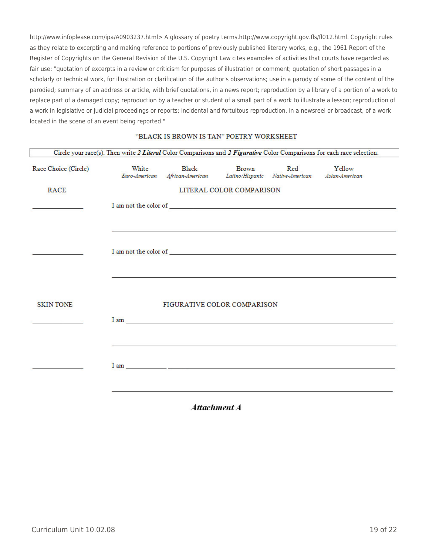http://www.infoplease.com/ipa/A0903237.html> A glossary of poetry terms.http://www.copyright.gov.fls/fl012.html. Copyright rules as they relate to excerpting and making reference to portions of previously published literary works, e.g., the 1961 Report of the Register of Copyrights on the General Revision of the U.S. Copyright Law cites examples of activities that courts have regarded as fair use: "quotation of excerpts in a review or criticism for purposes of illustration or comment; quotation of short passages in a scholarly or technical work, for illustration or clarification of the author's observations; use in a parody of some of the content of the parodied; summary of an address or article, with brief quotations, in a news report; reproduction by a library of a portion of a work to replace part of a damaged copy; reproduction by a teacher or student of a small part of a work to illustrate a lesson; reproduction of a work in legislative or judicial proceedings or reports; incidental and fortuitous reproduction, in a newsreel or broadcast, of a work located in the scene of an event being reported."

#### "BLACK IS BROWN IS TAN" POETRY WORKSHEET

| Circle your race(s). Then write 2 Literal Color Comparisons and 2 Figurative Color Comparisons for each race selection. |                        |                                      |                                                                                 |     |                                                                         |
|-------------------------------------------------------------------------------------------------------------------------|------------------------|--------------------------------------|---------------------------------------------------------------------------------|-----|-------------------------------------------------------------------------|
| Race Choice (Circle)                                                                                                    | White<br>Euro-American | Black                                | <b>Brown</b><br>African-American Latino/Hispanic Native-American Asian-American | Red | Yellow                                                                  |
| <b>RACE</b>                                                                                                             |                        |                                      | LITERAL COLOR COMPARISON                                                        |     |                                                                         |
|                                                                                                                         |                        | ${\rm I}$ am not the color of $\_\_$ |                                                                                 |     |                                                                         |
|                                                                                                                         |                        |                                      |                                                                                 |     |                                                                         |
|                                                                                                                         |                        |                                      |                                                                                 |     | ${\rm I}$ am not the color of $\textcolor{red}{\overline{\mathcal{L}}}$ |
|                                                                                                                         |                        |                                      |                                                                                 |     |                                                                         |
|                                                                                                                         |                        |                                      |                                                                                 |     |                                                                         |
| <b>SKINTONE</b>                                                                                                         |                        | FIGURATIVE COLOR COMPARISON          |                                                                                 |     |                                                                         |
|                                                                                                                         |                        |                                      |                                                                                 |     |                                                                         |
|                                                                                                                         |                        |                                      |                                                                                 |     |                                                                         |
|                                                                                                                         |                        |                                      |                                                                                 |     |                                                                         |
|                                                                                                                         |                        |                                      |                                                                                 |     |                                                                         |
|                                                                                                                         |                        |                                      |                                                                                 |     |                                                                         |

Attachment A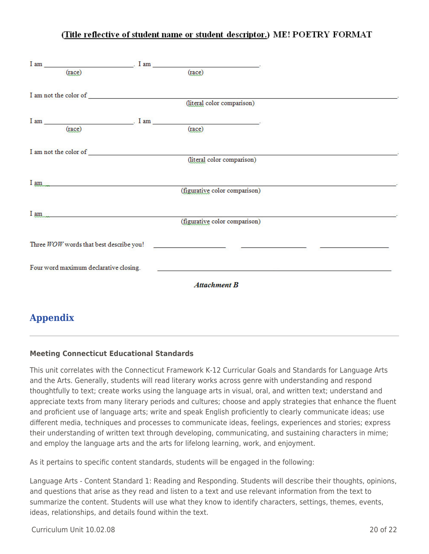### (Title reflective of student name or student descriptor.) ME! POETRY FORMAT

|                 | (race)                                                                                                                                                                                                                                   | (race)                        |  |
|-----------------|------------------------------------------------------------------------------------------------------------------------------------------------------------------------------------------------------------------------------------------|-------------------------------|--|
|                 |                                                                                                                                                                                                                                          |                               |  |
|                 |                                                                                                                                                                                                                                          |                               |  |
|                 |                                                                                                                                                                                                                                          | (literal color comparison)    |  |
|                 |                                                                                                                                                                                                                                          |                               |  |
|                 |                                                                                                                                                                                                                                          | $I am$ (race) $I am$ (race)   |  |
|                 |                                                                                                                                                                                                                                          |                               |  |
|                 |                                                                                                                                                                                                                                          |                               |  |
|                 |                                                                                                                                                                                                                                          | (literal color comparison)    |  |
|                 |                                                                                                                                                                                                                                          |                               |  |
|                 | <u>I am</u>                                                                                                                                                                                                                              |                               |  |
|                 |                                                                                                                                                                                                                                          | (figurative color comparison) |  |
|                 |                                                                                                                                                                                                                                          |                               |  |
|                 | <u>I</u> am <u>and</u> the second contract of the second contract of the second contract of the second contract of the second contract of the second contract of the second contract of the second contract of the second contract of th | (figurative color comparison) |  |
|                 |                                                                                                                                                                                                                                          |                               |  |
|                 | Three WOW words that best describe you!                                                                                                                                                                                                  |                               |  |
|                 |                                                                                                                                                                                                                                          |                               |  |
|                 |                                                                                                                                                                                                                                          |                               |  |
|                 | Four word maximum declarative closing.                                                                                                                                                                                                   |                               |  |
|                 |                                                                                                                                                                                                                                          | <b>Attachment B</b>           |  |
|                 |                                                                                                                                                                                                                                          |                               |  |
|                 |                                                                                                                                                                                                                                          |                               |  |
| <b>Appendix</b> |                                                                                                                                                                                                                                          |                               |  |

### **Meeting Connecticut Educational Standards**

This unit correlates with the Connecticut Framework K-12 Curricular Goals and Standards for Language Arts and the Arts. Generally, students will read literary works across genre with understanding and respond thoughtfully to text; create works using the language arts in visual, oral, and written text; understand and appreciate texts from many literary periods and cultures; choose and apply strategies that enhance the fluent and proficient use of language arts; write and speak English proficiently to clearly communicate ideas; use different media, techniques and processes to communicate ideas, feelings, experiences and stories; express their understanding of written text through developing, communicating, and sustaining characters in mime; and employ the language arts and the arts for lifelong learning, work, and enjoyment.

As it pertains to specific content standards, students will be engaged in the following:

Language Arts - Content Standard 1: Reading and Responding. Students will describe their thoughts, opinions, and questions that arise as they read and listen to a text and use relevant information from the text to summarize the content. Students will use what they know to identify characters, settings, themes, events, ideas, relationships, and details found within the text.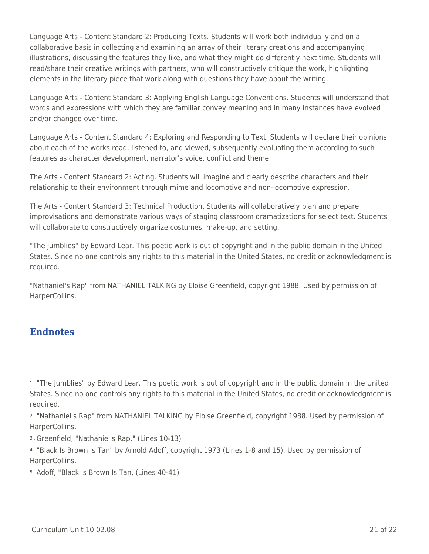Language Arts - Content Standard 2: Producing Texts. Students will work both individually and on a collaborative basis in collecting and examining an array of their literary creations and accompanying illustrations, discussing the features they like, and what they might do differently next time. Students will read/share their creative writings with partners, who will constructively critique the work, highlighting elements in the literary piece that work along with questions they have about the writing.

Language Arts - Content Standard 3: Applying English Language Conventions. Students will understand that words and expressions with which they are familiar convey meaning and in many instances have evolved and/or changed over time.

Language Arts - Content Standard 4: Exploring and Responding to Text. Students will declare their opinions about each of the works read, listened to, and viewed, subsequently evaluating them according to such features as character development, narrator's voice, conflict and theme.

The Arts - Content Standard 2: Acting. Students will imagine and clearly describe characters and their relationship to their environment through mime and locomotive and non-locomotive expression.

The Arts - Content Standard 3: Technical Production. Students will collaboratively plan and prepare improvisations and demonstrate various ways of staging classroom dramatizations for select text. Students will collaborate to constructively organize costumes, make-up, and setting.

"The Jumblies" by Edward Lear. This poetic work is out of copyright and in the public domain in the United States. Since no one controls any rights to this material in the United States, no credit or acknowledgment is required.

"Nathaniel's Rap" from NATHANIEL TALKING by Eloise Greenfield, copyright 1988. Used by permission of HarperCollins.

### **Endnotes**

2 . "Nathaniel's Rap" from NATHANIEL TALKING by Eloise Greenfield, copyright 1988. Used by permission of HarperCollins.

3 . Greenfield, "Nathaniel's Rap," (Lines 10-13)

4 . "Black Is Brown Is Tan" by Arnold Adoff, copyright 1973 (Lines 1-8 and 15). Used by permission of HarperCollins.

5 . Adoff, "Black Is Brown Is Tan, (Lines 40-41)

<sup>1 .</sup> "The Jumblies" by Edward Lear. This poetic work is out of copyright and in the public domain in the United States. Since no one controls any rights to this material in the United States, no credit or acknowledgment is required.